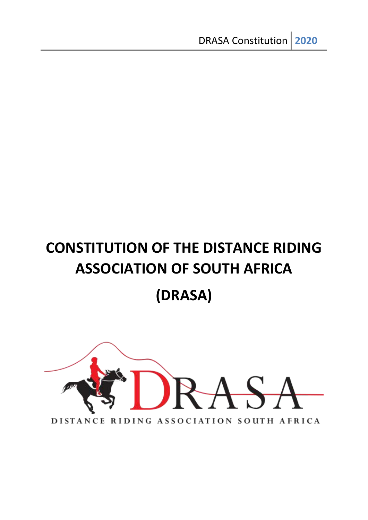# **CONSTITUTION OF THE DISTANCE RIDING ASSOCIATION OF SOUTH AFRICA (DRASA)**

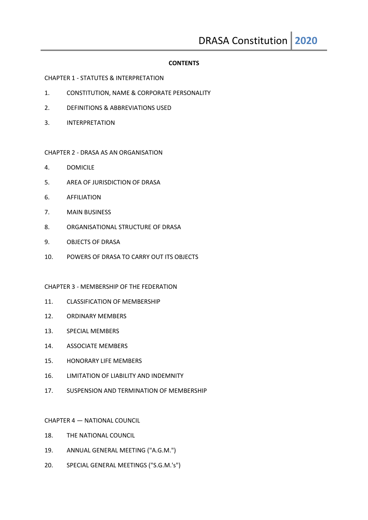#### **CONTENTS**

#### CHAPTER 1 - STATUTES & INTERPRETATION

- 1. CONSTITUTION, NAME & CORPORATE PERSONALITY
- 2. DEFINITIONS & ABBREVIATIONS USED
- 3. INTERPRETATION

#### CHAPTER 2 - DRASA AS AN ORGANISATION

- 4. DOMICILE
- 5. AREA OF JURISDICTION OF DRASA
- 6. AFFILIATION
- 7. MAIN BUSINESS
- 8. ORGANISATIONAL STRUCTURE OF DRASA
- 9. OBJECTS OF DRASA
- 10. POWERS OF DRASA TO CARRY OUT ITS OBJECTS

#### CHAPTER 3 - MEMBERSHIP OF THE FEDERATION

- 11. CLASSIFICATION OF MEMBERSHIP
- 12. ORDINARY MEMBERS
- 13. SPECIAL MEMBERS
- 14. ASSOCIATE MEMBERS
- 15. HONORARY LIFE MEMBERS
- 16. LIMITATION OF LIABILITY AND INDEMNITY
- 17. SUSPENSION AND TERMINATION OF MEMBERSHIP

#### CHAPTER 4 — NATIONAL COUNCIL

- 18. THE NATIONAL COUNCIL
- 19. ANNUAL GENERAL MEETING ("A.G.M.")
- 20. SPECIAL GENERAL MEETINGS ("S.G.M.'s")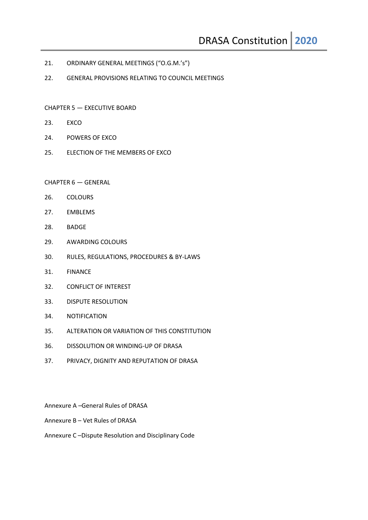- 21. ORDINARY GENERAL MEETINGS ("O.G.M.'s")
- 22. GENERAL PROVISIONS RELATING TO COUNCIL MEETINGS
- CHAPTER 5 EXECUTIVE BOARD
- 23. EXCO
- 24. POWERS OF EXCO
- 25. ELECTION OF THE MEMBERS OF EXCO

#### CHAPTER 6 — GENERAL

- 26. COLOURS
- 27. EMBLEMS
- 28. BADGE
- 29. AWARDING COLOURS
- 30. RULES, REGULATIONS, PROCEDURES & BY-LAWS
- 31. FINANCE
- 32. CONFLICT OF INTEREST
- 33. DISPUTE RESOLUTION
- 34. NOTIFICATION
- 35. ALTERATION OR VARIATION OF THIS CONSTITUTION
- 36. DISSOLUTION OR WINDING-UP OF DRASA
- 37. PRIVACY, DIGNITY AND REPUTATION OF DRASA
- Annexure A –General Rules of DRASA
- Annexure B Vet Rules of DRASA
- Annexure C –Dispute Resolution and Disciplinary Code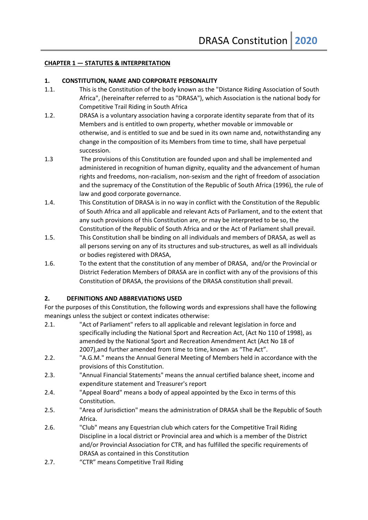#### **CHAPTER 1 — STATUTES & INTERPRETATION**

#### **1. CONSTITUTION, NAME AND CORPORATE PERSONALITY**

- 1.1. This is the Constitution of the body known as the "Distance Riding Association of South Africa", (hereinafter referred to as "DRASA"), which Association is the national body for Competitive Trail Riding in South Africa
- 1.2. DRASA is a voluntary association having a corporate identity separate from that of its Members and is entitled to own property, whether movable or immovable or otherwise, and is entitled to sue and be sued in its own name and, notwithstanding any change in the composition of its Members from time to time, shall have perpetual succession.
- 1.3 The provisions of this Constitution are founded upon and shall be implemented and administered in recognition of human dignity, equality and the advancement of human rights and freedoms, non-racialism, non-sexism and the right of freedom of association and the supremacy of the Constitution of the Republic of South Africa (1996), the rule of law and good corporate governance.
- 1.4. This Constitution of DRASA is in no way in conflict with the Constitution of the Republic of South Africa and all applicable and relevant Acts of Parliament, and to the extent that any such provisions of this Constitution are, or may be interpreted to be so, the Constitution of the Republic of South Africa and or the Act of Parliament shall prevail.
- 1.5. This Constitution shall be binding on all individuals and members of DRASA, as well as all persons serving on any of its structures and sub-structures, as well as all individuals or bodies registered with DRASA,
- 1.6. To the extent that the constitution of any member of DRASA, and/or the Provincial or District Federation Members of DRASA are in conflict with any of the provisions of this Constitution of DRASA, the provisions of the DRASA constitution shall prevail.

#### **2. DEFINITIONS AND ABBREVIATIONS USED**

For the purposes of this Constitution, the following words and expressions shall have the following meanings unless the subject or context indicates otherwise:

- 2.1. "Act of Parliament" refers to all applicable and relevant legislation in force and specifically including the National Sport and Recreation Act, (Act No 110 of 1998), as amended by the National Sport and Recreation Amendment Act (Act No 18 of 2007),and further amended from time to time, known as "The Act".
- 2.2. "A.G.M." means the Annual General Meeting of Members held in accordance with the provisions of this Constitution.
- 2.3. "Annual Financial Statements" means the annual certified balance sheet, income and expenditure statement and Treasurer's report
- 2.4. "Appeal Board" means a body of appeal appointed by the Exco in terms of this Constitution.
- 2.5. "Area of Jurisdiction" means the administration of DRASA shall be the Republic of South Africa.
- 2.6. "Club" means any Equestrian club which caters for the Competitive Trail Riding Discipline in a local district or Provincial area and which is a member of the District and/or Provincial Association for CTR, and has fulfilled the specific requirements of DRASA as contained in this Constitution
- 2.7. "CTR" means Competitive Trail Riding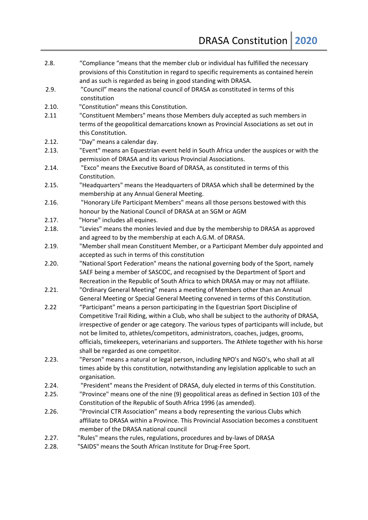- 2.8. "Compliance "means that the member club or individual has fulfilled the necessary provisions of this Constitution in regard to specific requirements as contained herein and as such is regarded as being in good standing with DRASA. 2.9. "Council" means the national council of DRASA as constituted in terms of this constitution 2.10. "Constitution" means this Constitution. 2.11 "Constituent Members" means those Members duly accepted as such members in terms of the geopolitical demarcations known as Provincial Associations as set out in this Constitution. 2.12. "Day" means a calendar day. 2.13. "Event" means an Equestrian event held in South Africa under the auspices or with the permission of DRASA and its various Provincial Associations. 2.14. "Exco" means the Executive Board of DRASA, as constituted in terms of this Constitution. 2.15. "Headquarters" means the Headquarters of DRASA which shall be determined by the membership at any Annual General Meeting. 2.16. "Honorary Life Participant Members" means all those persons bestowed with this honour by the National Council of DRASA at an SGM or AGM 2.17. "Horse" includes all equines. 2.18. "Levies" means the monies levied and due by the membership to DRASA as approved and agreed to by the membership at each A.G.M. of DRASA. 2.19. "Member shall mean Constituent Member, or a Participant Member duly appointed and accepted as such in terms of this constitution 2.20. "National Sport Federation" means the national governing body of the Sport, namely SAEF being a member of SASCOC, and recognised by the Department of Sport and Recreation in the Republic of South Africa to which DRASA may or may not affiliate. 2.21. "Ordinary General Meeting" means a meeting of Members other than an Annual General Meeting or Special General Meeting convened in terms of this Constitution. 2.22 "Participant" means a person participating in the Equestrian Sport Discipline of Competitive Trail Riding, within a Club, who shall be subject to the authority of DRASA, irrespective of gender or age category. The various types of participants will include, but not be limited to, athletes/competitors, administrators, coaches, judges, grooms, officials, timekeepers, veterinarians and supporters. The Athlete together with his horse shall be regarded as one competitor. 2.23. "Person" means a natural or legal person, including NPO's and NGO's, who shall at all times abide by this constitution, notwithstanding any legislation applicable to such an organisation. 2.24. "President" means the President of DRASA, duly elected in terms of this Constitution. 2.25. "Province" means one of the nine (9) geopolitical areas as defined in Section 103 of the Constitution of the Republic of South Africa 1996 (as amended). 2.26. "Provincial CTR Association" means a body representing the various Clubs which affiliate to DRASA within a Province. This Provincial Association becomes a constituent member of the DRASA national council 2.27. "Rules" means the rules, regulations, procedures and by-laws of DRASA
- 2.28. "SAIDS" means the South African Institute for Drug-Free Sport.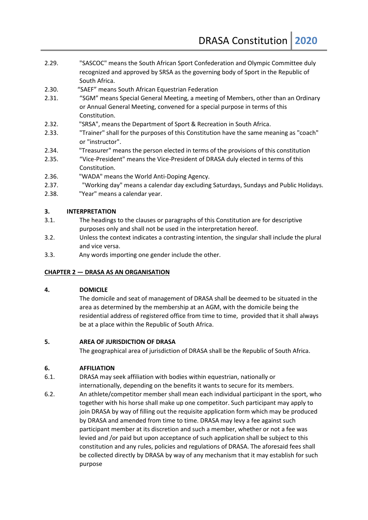- 2.29. "SASCOC" means the South African Sport Confederation and Olympic Committee duly recognized and approved by SRSA as the governing body of Sport in the Republic of South Africa.
- 2.30. "SAEF" means South African Equestrian Federation
- 2.31. "SGM" means Special General Meeting, a meeting of Members, other than an Ordinary or Annual General Meeting, convened for a special purpose in terms of this Constitution.
- 2.32. "SRSA", means the Department of Sport & Recreation in South Africa.
- 2.33. "Trainer" shall for the purposes of this Constitution have the same meaning as "coach" or "instructor".
- 2.34. "Treasurer" means the person elected in terms of the provisions of this constitution
- 2.35. "Vice-President" means the Vice-President of DRASA duly elected in terms of this Constitution.
- 2.36. "WADA" means the World Anti-Doping Agency.
- 2.37. "Working day" means a calendar day excluding Saturdays, Sundays and Public Holidays.
- 2.38. "Year" means a calendar year.

#### **3. INTERPRETATION**

- 3.1. The headings to the clauses or paragraphs of this Constitution are for descriptive purposes only and shall not be used in the interpretation hereof.
- 3.2. Unless the context indicates a contrasting intention, the singular shall include the plural and vice versa.
- 3.3. Any words importing one gender include the other.

# **CHAPTER 2 — DRASA AS AN ORGANISATION**

#### **4. DOMICILE**

The domicile and seat of management of DRASA shall be deemed to be situated in the area as determined by the membership at an AGM, with the domicile being the residential address of registered office from time to time, provided that it shall always be at a place within the Republic of South Africa.

#### **5. AREA OF JURISDICTION OF DRASA**

The geographical area of jurisdiction of DRASA shall be the Republic of South Africa.

# **6. AFFILIATION**

- 6.1. DRASA may seek affiliation with bodies within equestrian, nationally or internationally, depending on the benefits it wants to secure for its members.
- 6.2. An athlete/competitor member shall mean each individual participant in the sport, who together with his horse shall make up one competitor. Such participant may apply to join DRASA by way of filling out the requisite application form which may be produced by DRASA and amended from time to time. DRASA may levy a fee against such participant member at its discretion and such a member, whether or not a fee was levied and /or paid but upon acceptance of such application shall be subject to this constitution and any rules, policies and regulations of DRASA. The aforesaid fees shall be collected directly by DRASA by way of any mechanism that it may establish for such purpose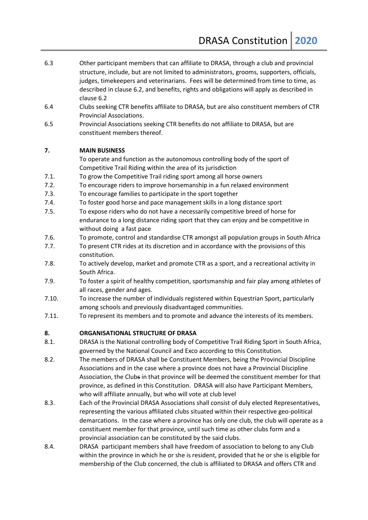- 6.3 Other participant members that can affiliate to DRASA, through a club and provincial structure, include, but are not limited to administrators, grooms, supporters, officials, judges, timekeepers and veterinarians. Fees will be determined from time to time, as described in clause 6.2, and benefits, rights and obligations will apply as described in clause 6.2
- 6.4 Clubs seeking CTR benefits affiliate to DRASA, but are also constituent members of CTR Provincial Associations.
- 6.5 Provincial Associations seeking CTR benefits do not affiliate to DRASA, but are constituent members thereof.

# **7. MAIN BUSINESS**

To operate and function as the autonomous controlling body of the sport of Competitive Trail Riding within the area of its jurisdiction

- 7.1. To grow the Competitive Trail riding sport among all horse owners
- 7.2. To encourage riders to improve horsemanship in a fun relaxed environment
- 7.3. To encourage families to participate in the sport together
- 7.4. To foster good horse and pace management skills in a long distance sport
- 7.5. To expose riders who do not have a necessarily competitive breed of horse for endurance to a long distance riding sport that they can enjoy and be competitive in without doing a fast pace
- 7.6. To promote, control and standardise CTR amongst all population groups in South Africa
- 7.7. To present CTR rides at its discretion and in accordance with the provisions of this constitution.
- 7.8. To actively develop, market and promote CTR as a sport, and a recreational activity in South Africa.
- 7.9. To foster a spirit of healthy competition, sportsmanship and fair play among athletes of all races, gender and ages.
- 7.10. To increase the number of individuals registered within Equestrian Sport, particularly among schools and previously disadvantaged communities.
- 7.11. To represent its members and to promote and advance the interests of its members.

# **8. ORGANISATIONAL STRUCTURE OF DRASA**

- 8.1. DRASA is the National controlling body of Competitive Trail Riding Sport in South Africa, governed by the National Council and Exco according to this Constitution.
- 8.2. The members of DRASA shall be Constituent Members, being the Provincial Discipline Associations and in the case where a province does not have a Provincial Discipline Association, the Clubs in that province will be deemed the constituent member for that province, as defined in this Constitution. DRASA will also have Participant Members, who will affiliate annually, but who will vote at club level
- 8.3. Each of the Provincial DRASA Associations shall consist of duly elected Representatives, representing the various affiliated clubs situated within their respective geo-political demarcations. In the case where a province has only one club, the club will operate as a constituent member for that province, until such time as other clubs form and a provincial association can be constituted by the said clubs.
- 8.4. DRASA participant members shall have freedom of association to belong to any Club within the province in which he or she is resident, provided that he or she is eligible for membership of the Club concerned, the club is affiliated to DRASA and offers CTR and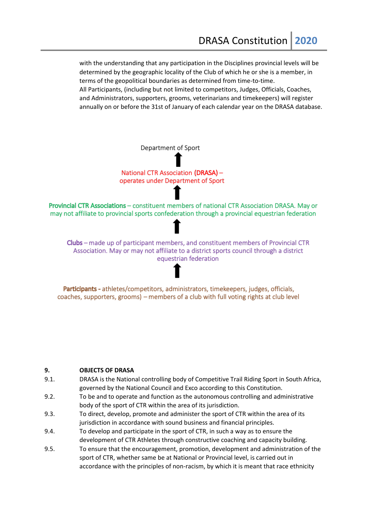with the understanding that any participation in the Disciplines provincial levels will be determined by the geographic locality of the Club of which he or she is a member, in terms of the geopolitical boundaries as determined from time-to-time. All Participants, (including but not limited to competitors, Judges, Officials, Coaches, and Administrators, supporters, grooms, veterinarians and timekeepers) will register annually on or before the 31st of January of each calendar year on the DRASA database.

Department of Sport

National CTR Association (DRASA) operates under Department of Sport

Provincial CTR Associations - constituent members of national CTR Association DRASA. May or may not affiliate to provincial sports confederation through a provincial equestrian federation

Clubs – made up of participant members, and constituent members of Provincial CTR Association. May or may not affiliate to a district sports council through a district equestrian federation

Participants - athletes/competitors, administrators, timekeepers, judges, officials, coaches, supporters, grooms) – members of a club with full voting rights at club level

#### **9. OBJECTS OF DRASA**

- 9.1. DRASA is the National controlling body of Competitive Trail Riding Sport in South Africa, governed by the National Council and Exco according to this Constitution.
- 9.2. To be and to operate and function as the autonomous controlling and administrative body of the sport of CTR within the area of its jurisdiction.
- 9.3. To direct, develop, promote and administer the sport of CTR within the area of its jurisdiction in accordance with sound business and financial principles.
- 9.4. To develop and participate in the sport of CTR, in such a way as to ensure the development of CTR Athletes through constructive coaching and capacity building.
- 9.5. To ensure that the encouragement, promotion, development and administration of the sport of CTR, whether same be at National or Provincial level, is carried out in accordance with the principles of non-racism, by which it is meant that race ethnicity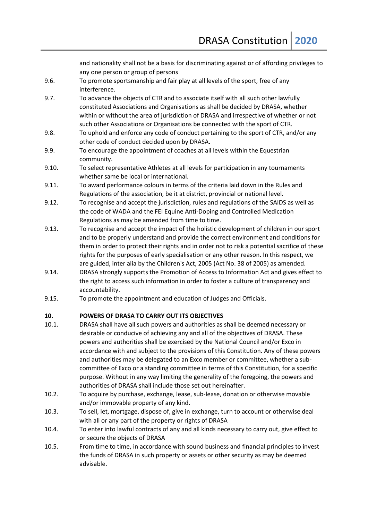and nationality shall not be a basis for discriminating against or of affording privileges to any one person or group of persons

- 9.6. To promote sportsmanship and fair play at all levels of the sport, free of any interference.
- 9.7. To advance the objects of CTR and to associate itself with all such other lawfully constituted Associations and Organisations as shall be decided by DRASA, whether within or without the area of jurisdiction of DRASA and irrespective of whether or not such other Associations or Organisations be connected with the sport of CTR.
- 9.8. To uphold and enforce any code of conduct pertaining to the sport of CTR, and/or any other code of conduct decided upon by DRASA.
- 9.9. To encourage the appointment of coaches at all levels within the Equestrian community.
- 9.10. To select representative Athletes at all levels for participation in any tournaments whether same be local or international.
- 9.11. To award performance colours in terms of the criteria laid down in the Rules and Regulations of the association, be it at district, provincial or national level.
- 9.12. To recognise and accept the jurisdiction, rules and regulations of the SAIDS as well as the code of WADA and the FEI Equine Anti-Doping and Controlled Medication Regulations as may be amended from time to time.
- 9.13. To recognise and accept the impact of the holistic development of children in our sport and to be properly understand and provide the correct environment and conditions for them in order to protect their rights and in order not to risk a potential sacrifice of these rights for the purposes of early specialisation or any other reason. In this respect, we are guided, inter alia by the Children's Act, 2005 (Act No. 38 of 2005) as amended.
- 9.14. DRASA strongly supports the Promotion of Access to Information Act and gives effect to the right to access such information in order to foster a culture of transparency and accountability.
- 9.15. To promote the appointment and education of Judges and Officials.

# **10. POWERS OF DRASA TO CARRY OUT ITS OBJECTIVES**

- 10.1. DRASA shall have all such powers and authorities as shall be deemed necessary or desirable or conducive of achieving any and all of the objectives of DRASA. These powers and authorities shall be exercised by the National Council and/or Exco in accordance with and subject to the provisions of this Constitution. Any of these powers and authorities may be delegated to an Exco member or committee, whether a subcommittee of Exco or a standing committee in terms of this Constitution, for a specific purpose. Without in any way limiting the generality of the foregoing, the powers and authorities of DRASA shall include those set out hereinafter.
- 10.2. To acquire by purchase, exchange, lease, sub-lease, donation or otherwise movable and/or immovable property of any kind.
- 10.3. To sell, let, mortgage, dispose of, give in exchange, turn to account or otherwise deal with all or any part of the property or rights of DRASA
- 10.4. To enter into lawful contracts of any and all kinds necessary to carry out, give effect to or secure the objects of DRASA
- 10.5. From time to time, in accordance with sound business and financial principles to invest the funds of DRASA in such property or assets or other security as may be deemed advisable.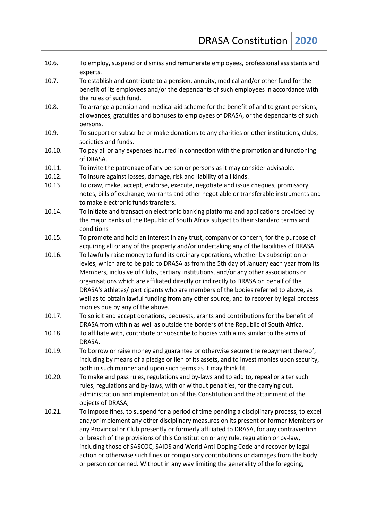- 10.6. To employ, suspend or dismiss and remunerate employees, professional assistants and experts.
- 10.7. To establish and contribute to a pension, annuity, medical and/or other fund for the benefit of its employees and/or the dependants of such employees in accordance with the rules of such fund.
- 10.8. To arrange a pension and medical aid scheme for the benefit of and to grant pensions, allowances, gratuities and bonuses to employees of DRASA, or the dependants of such persons.
- 10.9. To support or subscribe or make donations to any charities or other institutions, clubs, societies and funds.
- 10.10. To pay all or any expenses incurred in connection with the promotion and functioning of DRASA.
- 10.11. To invite the patronage of any person or persons as it may consider advisable.
- 10.12. To insure against losses, damage, risk and liability of all kinds.
- 10.13. To draw, make, accept, endorse, execute, negotiate and issue cheques, promissory notes, bills of exchange, warrants and other negotiable or transferable instruments and to make electronic funds transfers.
- 10.14. To initiate and transact on electronic banking platforms and applications provided by the major banks of the Republic of South Africa subject to their standard terms and conditions
- 10.15. To promote and hold an interest in any trust, company or concern, for the purpose of acquiring all or any of the property and/or undertaking any of the liabilities of DRASA.
- 10.16. To lawfully raise money to fund its ordinary operations, whether by subscription or levies, which are to be paid to DRASA as from the 5th day of January each year from its Members, inclusive of Clubs, tertiary institutions, and/or any other associations or organisations which are affiliated directly or indirectly to DRASA on behalf of the DRASA's athletes/ participants who are members of the bodies referred to above, as well as to obtain lawful funding from any other source, and to recover by legal process monies due by any of the above.
- 10.17. To solicit and accept donations, bequests, grants and contributions for the benefit of DRASA from within as well as outside the borders of the Republic of South Africa.
- 10.18. To affiliate with, contribute or subscribe to bodies with aims similar to the aims of DRASA.
- 10.19. To borrow or raise money and guarantee or otherwise secure the repayment thereof, including by means of a pledge or lien of its assets, and to invest monies upon security, both in such manner and upon such terms as it may think fit.
- 10.20. To make and pass rules, regulations and by-laws and to add to, repeal or alter such rules, regulations and by-laws, with or without penalties, for the carrying out, administration and implementation of this Constitution and the attainment of the objects of DRASA,
- 10.21. To impose fines, to suspend for a period of time pending a disciplinary process, to expel and/or implement any other disciplinary measures on its present or former Members or any Provincial or Club presently or formerly affiliated to DRASA, for any contravention or breach of the provisions of this Constitution or any rule, regulation or by-law, including those of SASCOC, SAIDS and World Anti-Doping Code and recover by legal action or otherwise such fines or compulsory contributions or damages from the body or person concerned. Without in any way limiting the generality of the foregoing,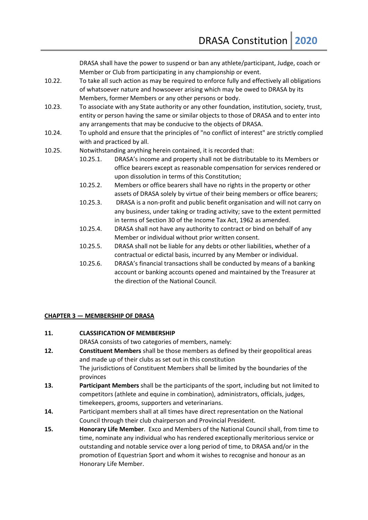DRASA shall have the power to suspend or ban any athlete/participant, Judge, coach or Member or Club from participating in any championship or event.

- 10.22. To take all such action as may be required to enforce fully and effectively all obligations of whatsoever nature and howsoever arising which may be owed to DRASA by its Members, former Members or any other persons or body.
- 10.23. To associate with any State authority or any other foundation, institution, society, trust, entity or person having the same or similar objects to those of DRASA and to enter into any arrangements that may be conducive to the objects of DRASA.
- 10.24. To uphold and ensure that the principles of "no conflict of interest" are strictly complied with and practiced by all.
- 10.25. Notwithstanding anything herein contained, it is recorded that:
	- 10.25.1. DRASA's income and property shall not be distributable to its Members or office bearers except as reasonable compensation for services rendered or upon dissolution in terms of this Constitution;
	- 10.25.2. Members or office bearers shall have no rights in the property or other assets of DRASA solely by virtue of their being members or office bearers;
	- 10.25.3. DRASA is a non-profit and public benefit organisation and will not carry on any business, under taking or trading activity; save to the extent permitted in terms of Section 30 of the Income Tax Act, 1962 as amended.
	- 10.25.4. DRASA shall not have any authority to contract or bind on behalf of any Member or individual without prior written consent.
	- 10.25.5. DRASA shall not be liable for any debts or other liabilities, whether of a contractual or edictal basis, incurred by any Member or individual.
	- 10.25.6. DRASA's financial transactions shall be conducted by means of a banking account or banking accounts opened and maintained by the Treasurer at the direction of the National Council.

#### **CHAPTER 3 — MEMBERSHIP OF DRASA**

#### **11. CLASSIFICATION OF MEMBERSHIP**

DRASA consists of two categories of members, namely:

- **12. Constituent Members** shall be those members as defined by their geopolitical areas and made up of their clubs as set out in this constitution The jurisdictions of Constituent Members shall be limited by the boundaries of the provinces
- **13. Participant Members** shall be the participants of the sport, including but not limited to competitors (athlete and equine in combination), administrators, officials, judges, timekeepers, grooms, supporters and veterinarians.
- **14.** Participant members shall at all times have direct representation on the National Council through their club chairperson and Provincial President.
- **15. Honorary Life Member**. Exco and Members of the National Council shall, from time to time, nominate any individual who has rendered exceptionally meritorious service or outstanding and notable service over a long period of time, to DRASA and/or in the promotion of Equestrian Sport and whom it wishes to recognise and honour as an Honorary Life Member.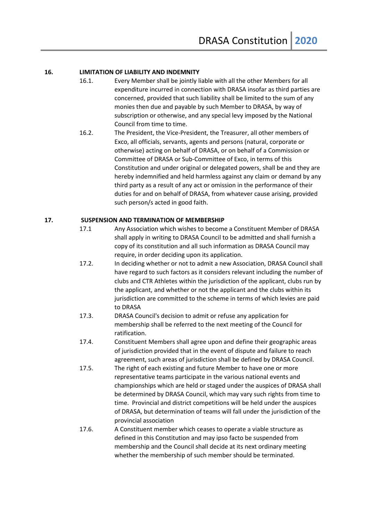#### **16. LIMITATION OF LIABILITY AND INDEMNITY**

- 16.1. Every Member shall be jointly liable with all the other Members for all expenditure incurred in connection with DRASA insofar as third parties are concerned, provided that such liability shall be limited to the sum of any monies then due and payable by such Member to DRASA, by way of subscription or otherwise, and any special levy imposed by the National Council from time to time.
- 16.2. The President, the Vice-President, the Treasurer, all other members of Exco, all officials, servants, agents and persons (natural, corporate or otherwise) acting on behalf of DRASA, or on behalf of a Commission or Committee of DRASA or Sub-Committee of Exco, in terms of this Constitution and under original or delegated powers, shall be and they are hereby indemnified and held harmless against any claim or demand by any third party as a result of any act or omission in the performance of their duties for and on behalf of DRASA, from whatever cause arising, provided such person/s acted in good faith.

#### **17. SUSPENSION AND TERMINATION OF MEMBERSHIP**

- 17.1 Any Association which wishes to become a Constituent Member of DRASA shall apply in writing to DRASA Council to be admitted and shall furnish a copy of its constitution and all such information as DRASA Council may require, in order deciding upon its application.
- 17.2. In deciding whether or not to admit a new Association, DRASA Council shall have regard to such factors as it considers relevant including the number of clubs and CTR Athletes within the jurisdiction of the applicant, clubs run by the applicant, and whether or not the applicant and the clubs within its jurisdiction are committed to the scheme in terms of which levies are paid to DRASA
- 17.3. DRASA Council's decision to admit or refuse any application for membership shall be referred to the next meeting of the Council for ratification.
- 17.4. Constituent Members shall agree upon and define their geographic areas of jurisdiction provided that in the event of dispute and failure to reach agreement, such areas of jurisdiction shall be defined by DRASA Council.
- 17.5. The right of each existing and future Member to have one or more representative teams participate in the various national events and championships which are held or staged under the auspices of DRASA shall be determined by DRASA Council, which may vary such rights from time to time. Provincial and district competitions will be held under the auspices of DRASA, but determination of teams will fall under the jurisdiction of the provincial association
- 17.6. A Constituent member which ceases to operate a viable structure as defined in this Constitution and may ipso facto be suspended from membership and the Council shall decide at its next ordinary meeting whether the membership of such member should be terminated.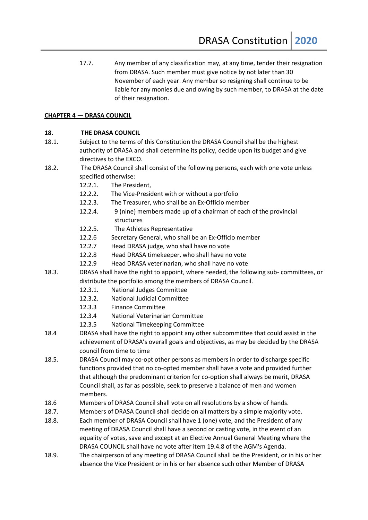17.7. Any member of any classification may, at any time, tender their resignation from DRASA. Such member must give notice by not later than 30 November of each year. Any member so resigning shall continue to be liable for any monies due and owing by such member, to DRASA at the date of their resignation.

# **CHAPTER 4 — DRASA COUNCIL**

# **18. THE DRASA COUNCIL**

- 18.1. Subject to the terms of this Constitution the DRASA Council shall be the highest authority of DRASA and shall determine its policy, decide upon its budget and give directives to the EXCO.
- 18.2. The DRASA Council shall consist of the following persons, each with one vote unless specified otherwise:
	- 12.2.1. The President,
	- 12.2.2. The Vice-President with or without a portfolio
	- 12.2.3. The Treasurer, who shall be an Ex-Officio member
	- 12.2.4. 9 (nine) members made up of a chairman of each of the provincial structures
	- 12.2.5. The Athletes Representative
	- 12.2.6 Secretary General, who shall be an Ex-Officio member
	- 12.2.7 Head DRASA judge, who shall have no vote
	- 12.2.8 Head DRASA timekeeper, who shall have no vote
	- 12.2.9 Head DRASA veterinarian, who shall have no vote
- 18.3. DRASA shall have the right to appoint, where needed, the following sub- committees, or distribute the portfolio among the members of DRASA Council.
	- 12.3.1. National Judges Committee
	- 12.3.2. National Judicial Committee
	- 12.3.3 Finance Committee
	- 12.3.4 National Veterinarian Committee
	- 12.3.5 National Timekeeping Committee
- 18.4 DRASA shall have the right to appoint any other subcommittee that could assist in the achievement of DRASA's overall goals and objectives, as may be decided by the DRASA council from time to time
- 18.5. DRASA Council may co-opt other persons as members in order to discharge specific functions provided that no co-opted member shall have a vote and provided further that although the predominant criterion for co-option shall always be merit, DRASA Council shall, as far as possible, seek to preserve a balance of men and women members.
- 18.6 Members of DRASA Council shall vote on all resolutions by a show of hands.
- 18.7. Members of DRASA Council shall decide on all matters by a simple majority vote.
- 18.8. Each member of DRASA Council shall have 1 (one) vote, and the President of any meeting of DRASA Council shall have a second or casting vote, in the event of an equality of votes, save and except at an Elective Annual General Meeting where the DRASA COUNCIL shall have no vote after item 19.4.8 of the AGM's Agenda.
- 18.9. The chairperson of any meeting of DRASA Council shall be the President, or in his or her absence the Vice President or in his or her absence such other Member of DRASA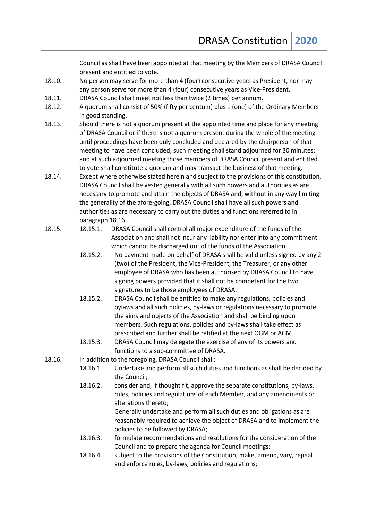Council as shall have been appointed at that meeting by the Members of DRASA Council present and entitled to vote.

- 18.10. No person may serve for more than 4 (four) consecutive years as President, nor may any person serve for more than 4 (four) consecutive years as Vice-President.
- 18.11. DRASA Council shall meet not less than twice (2 times) per annum.
- 18.12. A quorum shall consist of 50% (fifty per centum) plus 1 (one) of the Ordinary Members in good standing.
- 18.13. Should there is not a quorum present at the appointed time and place for any meeting of DRASA Council or if there is not a quorum present during the whole of the meeting until proceedings have been duly concluded and declared by the chairperson of that meeting to have been concluded, such meeting shall stand adjourned for 30 minutes; and at such adjourned meeting those members of DRASA Council present and entitled to vote shall constitute a quorum and may transact the business of that meeting.
- 18.14. Except where otherwise stated herein and subject to the provisions of this constitution, DRASA Council shall be vested generally with all such powers and authorities as are necessary to promote and attain the objects of DRASA and, without in any way limiting the generality of the afore-going, DRASA Council shall have all such powers and authorities as are necessary to carry out the duties and functions referred to in paragraph 18.16.
- 18.15. 18.15.1. DRASA Council shall control all major expenditure of the funds of the Association and shall not incur any liability nor enter into any commitment which cannot be discharged out of the funds of the Association.
	- 18.15.2. No payment made on behalf of DRASA shall be valid unless signed by any 2 (two) of the President, the Vice-President, the Treasurer, or any other employee of DRASA who has been authorised by DRASA Council to have signing powers provided that it shall not be competent for the two signatures to be those employees of DRASA.
	- 18.15.2. DRASA Council shall be entitled to make any regulations, policies and bylaws and all such policies, by-laws or regulations necessary to promote the aims and objects of the Association and shall be binding upon members. Such regulations, policies and by-laws shall take effect as prescribed and further shall be ratified at the next OGM or AGM.
	- 18.15.3. DRASA Council may delegate the exercise of any of its powers and functions to a sub-committee of DRASA.
- 18.16. In addition to the foregoing, DRASA Council shall:
	- 18.16.1. Undertake and perform all such duties and functions as shall be decided by the Council;
	- 18.16.2. consider and, if thought fit, approve the separate constitutions, by-laws, rules, policies and regulations of each Member, and any amendments or alterations thereto;

Generally undertake and perform all such duties and obligations as are reasonably required to achieve the object of DRASA and to implement the policies to be followed by DRASA;

- 18.16.3. formulate recommendations and resolutions for the consideration of the Council and to prepare the agenda for Council meetings;
- 18.16.4. subject to the provisions of the Constitution, make, amend, vary, repeal and enforce rules, by-laws, policies and regulations;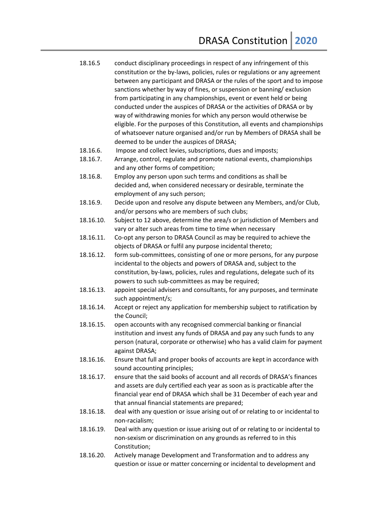- 18.16.5 conduct disciplinary proceedings in respect of any infringement of this constitution or the by-laws, policies, rules or regulations or any agreement between any participant and DRASA or the rules of the sport and to impose sanctions whether by way of fines, or suspension or banning/ exclusion from participating in any championships, event or event held or being conducted under the auspices of DRASA or the activities of DRASA or by way of withdrawing monies for which any person would otherwise be eligible. For the purposes of this Constitution, all events and championships of whatsoever nature organised and/or run by Members of DRASA shall be deemed to be under the auspices of DRASA;
- 18.16.6. Impose and collect levies, subscriptions, dues and imposts;
- 18.16.7. Arrange, control, regulate and promote national events, championships and any other forms of competition;
- 18.16.8. Employ any person upon such terms and conditions as shall be decided and, when considered necessary or desirable, terminate the employment of any such person;
- 18.16.9. Decide upon and resolve any dispute between any Members, and/or Club, and/or persons who are members of such clubs;
- 18.16.10. Subject to 12 above, determine the area/s or jurisdiction of Members and vary or alter such areas from time to time when necessary
- 18.16.11. Co-opt any person to DRASA Council as may be required to achieve the objects of DRASA or fulfil any purpose incidental thereto;
- 18.16.12. form sub-committees, consisting of one or more persons, for any purpose incidental to the objects and powers of DRASA and, subject to the constitution, by-laws, policies, rules and regulations, delegate such of its powers to such sub-committees as may be required;
- 18.16.13. appoint special advisers and consultants, for any purposes, and terminate such appointment/s;
- 18.16.14. Accept or reject any application for membership subject to ratification by the Council;
- 18.16.15. open accounts with any recognised commercial banking or financial institution and invest any funds of DRASA and pay any such funds to any person (natural, corporate or otherwise) who has a valid claim for payment against DRASA;
- 18.16.16. Ensure that full and proper books of accounts are kept in accordance with sound accounting principles;
- 18.16.17. ensure that the said books of account and all records of DRASA's finances and assets are duly certified each year as soon as is practicable after the financial year end of DRASA which shall be 31 December of each year and that annual financial statements are prepared;
- 18.16.18. deal with any question or issue arising out of or relating to or incidental to non-racialism;
- 18.16.19. Deal with any question or issue arising out of or relating to or incidental to non-sexism or discrimination on any grounds as referred to in this Constitution;
- 18.16.20. Actively manage Development and Transformation and to address any question or issue or matter concerning or incidental to development and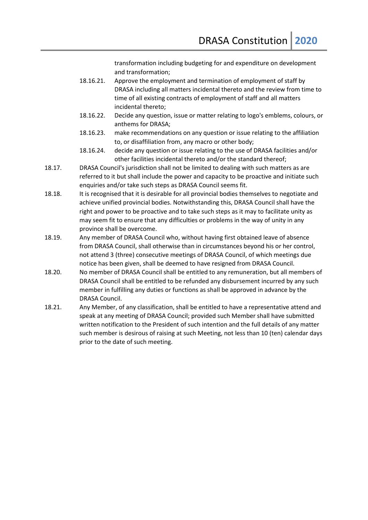transformation including budgeting for and expenditure on development and transformation;

- 18.16.21. Approve the employment and termination of employment of staff by DRASA including all matters incidental thereto and the review from time to time of all existing contracts of employment of staff and all matters incidental thereto;
- 18.16.22. Decide any question, issue or matter relating to logo's emblems, colours, or anthems for DRASA;
- 18.16.23. make recommendations on any question or issue relating to the affiliation to, or disaffiliation from, any macro or other body;
- 18.16.24. decide any question or issue relating to the use of DRASA facilities and/or other facilities incidental thereto and/or the standard thereof;
- 18.17. DRASA Council's jurisdiction shall not be limited to dealing with such matters as are referred to it but shall include the power and capacity to be proactive and initiate such enquiries and/or take such steps as DRASA Council seems fit.
- 18.18. It is recognised that it is desirable for all provincial bodies themselves to negotiate and achieve unified provincial bodies. Notwithstanding this, DRASA Council shall have the right and power to be proactive and to take such steps as it may to facilitate unity as may seem fit to ensure that any difficulties or problems in the way of unity in any province shall be overcome.
- 18.19. Any member of DRASA Council who, without having first obtained leave of absence from DRASA Council, shall otherwise than in circumstances beyond his or her control, not attend 3 (three) consecutive meetings of DRASA Council, of which meetings due notice has been given, shall be deemed to have resigned from DRASA Council.
- 18.20. No member of DRASA Council shall be entitled to any remuneration, but all members of DRASA Council shall be entitled to be refunded any disbursement incurred by any such member in fulfilling any duties or functions as shall be approved in advance by the DRASA Council.
- 18.21. Any Member, of any classification, shall be entitled to have a representative attend and speak at any meeting of DRASA Council; provided such Member shall have submitted written notification to the President of such intention and the full details of any matter such member is desirous of raising at such Meeting, not less than 10 (ten) calendar days prior to the date of such meeting.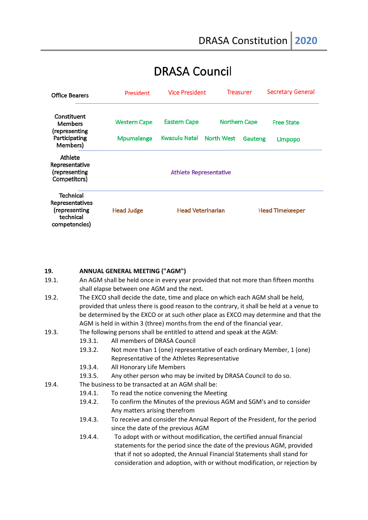# **DRASA Council**

| <b>Office Bearers</b>                                                       | President                     | <b>Vice President</b>    |                      | <b>Treasurer</b>       | <b>Secretary General</b><br><b>Free State</b> |
|-----------------------------------------------------------------------------|-------------------------------|--------------------------|----------------------|------------------------|-----------------------------------------------|
| Constituent<br><b>Members</b><br>(representing                              | <b>Western Cape</b>           | <b>Eastern Cape</b>      | <b>Northern Cape</b> |                        |                                               |
| Participating<br>Members)                                                   | Mpumalanga                    | Kwazulu Natal            | <b>North West</b>    | Gauteng                | Limpopo                                       |
| Athlete<br>Representative<br>(representing<br>Competitors)                  | <b>Athlete Representative</b> |                          |                      |                        |                                               |
| Technical<br>Representatives<br>(representing<br>technical<br>competencies) | <b>Head Judge</b>             | <b>Head Veterinarian</b> |                      | <b>Head Timekeeper</b> |                                               |

#### **19. ANNUAL GENERAL MEETING ("AGM")**

- 19.1. An AGM shall be held once in every year provided that not more than fifteen months shall elapse between one AGM and the next.
- 19.2. The EXCO shall decide the date, time and place on which each AGM shall be held, provided that unless there is good reason to the contrary, it shall be held at a venue to be determined by the EXCO or at such other place as EXCO may determine and that the AGM is held in within 3 (three) months from the end of the financial year.

19.3. The following persons shall be entitled to attend and speak at the AGM:

- 19.3.1. All members of DRASA Council
- 19.3.2. Not more than 1 (one) representative of each ordinary Member, 1 (one) Representative of the Athletes Representative
- 19.3.4. All Honorary Life Members
- 19.3.5. Any other person who may be invited by DRASA Council to do so.

19.4. The business to be transacted at an AGM shall be:

- 19.4.1. To read the notice convening the Meeting
- 19.4.2. To confirm the Minutes of the previous AGM and SGM's and to consider Any matters arising therefrom
- 19.4.3. To receive and consider the Annual Report of the President, for the period since the date of the previous AGM
- 19.4.4. To adopt with or without modification, the certified annual financial statements for the period since the date of the previous AGM, provided that if not so adopted, the Annual Financial Statements shall stand for consideration and adoption, with or without modification, or rejection by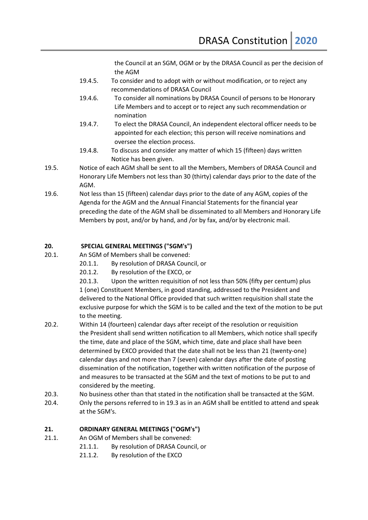the Council at an SGM, OGM or by the DRASA Council as per the decision of the AGM

- 19.4.5. To consider and to adopt with or without modification, or to reject any recommendations of DRASA Council
- 19.4.6. To consider all nominations by DRASA Council of persons to be Honorary Life Members and to accept or to reject any such recommendation or nomination
- 19.4.7. To elect the DRASA Council, An independent electoral officer needs to be appointed for each election; this person will receive nominations and oversee the election process.
- 19.4.8. To discuss and consider any matter of which 15 (fifteen) days written Notice has been given.
- 19.5. Notice of each AGM shall be sent to all the Members, Members of DRASA Council and Honorary Life Members not less than 30 (thirty) calendar days prior to the date of the AGM.
- 19.6. Not less than 15 (fifteen) calendar days prior to the date of any AGM, copies of the Agenda for the AGM and the Annual Financial Statements for the financial year preceding the date of the AGM shall be disseminated to all Members and Honorary Life Members by post, and/or by hand, and /or by fax, and/or by electronic mail.

# **20. SPECIAL GENERAL MEETINGS ("SGM's")**

- 20.1. An SGM of Members shall be convened:
	- 20.1.1. By resolution of DRASA Council, or
	- 20.1.2. By resolution of the EXCO, or

20.1.3. Upon the written requisition of not less than 50% (fifty per centum) plus 1 (one) Constituent Members, in good standing, addressed to the President and delivered to the National Office provided that such written requisition shall state the exclusive purpose for which the SGM is to be called and the text of the motion to be put to the meeting.

- 20.2. Within 14 (fourteen) calendar days after receipt of the resolution or requisition the President shall send written notification to all Members, which notice shall specify the time, date and place of the SGM, which time, date and place shall have been determined by EXCO provided that the date shall not be less than 21 (twenty-one) calendar days and not more than 7 (seven) calendar days after the date of posting dissemination of the notification, together with written notification of the purpose of and measures to be transacted at the SGM and the text of motions to be put to and considered by the meeting.
- 20.3. No business other than that stated in the notification shall be transacted at the SGM.
- 20.4. Only the persons referred to in 19.3 as in an AGM shall be entitled to attend and speak at the SGM's.

# **21. ORDINARY GENERAL MEETINGS ("OGM's")**

- 21.1. An OGM of Members shall be convened:
	- 21.1.1. By resolution of DRASA Council, or
	- 21.1.2. By resolution of the EXCO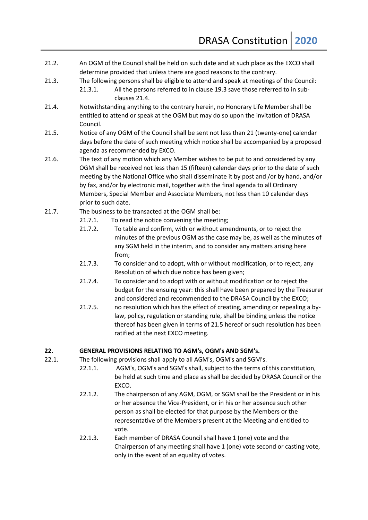- 21.2. An OGM of the Council shall be held on such date and at such place as the EXCO shall determine provided that unless there are good reasons to the contrary.
- 21.3. The following persons shall be eligible to attend and speak at meetings of the Council:
	- 21.3.1. All the persons referred to in clause 19.3 save those referred to in subclauses 21.4.
- 21.4. Notwithstanding anything to the contrary herein, no Honorary Life Member shall be entitled to attend or speak at the OGM but may do so upon the invitation of DRASA Council.
- 21.5. Notice of any OGM of the Council shall be sent not less than 21 (twenty-one) calendar days before the date of such meeting which notice shall be accompanied by a proposed agenda as recommended by EXCO.
- 21.6. The text of any motion which any Member wishes to be put to and considered by any OGM shall be received not less than 15 (fifteen) calendar days prior to the date of such meeting by the National Office who shall disseminate it by post and /or by hand, and/or by fax, and/or by electronic mail, together with the final agenda to all Ordinary Members, Special Member and Associate Members, not less than 10 calendar days prior to such date.
- 21.7. The business to be transacted at the OGM shall be:
	- 21.7.1. To read the notice convening the meeting;
	- 21.7.2. To table and confirm, with or without amendments, or to reject the minutes of the previous OGM as the case may be, as well as the minutes of any SGM held in the interim, and to consider any matters arising here from;
	- 21.7.3. To consider and to adopt, with or without modification, or to reject, any Resolution of which due notice has been given;
	- 21.7.4. To consider and to adopt with or without modification or to reject the budget for the ensuing year: this shall have been prepared by the Treasurer and considered and recommended to the DRASA Council by the EXCO;
	- 21.7.5. no resolution which has the effect of creating, amending or repealing a bylaw, policy, regulation or standing rule, shall be binding unless the notice thereof has been given in terms of 21.5 hereof or such resolution has been ratified at the next EXCO meeting.

# **22. GENERAL PROVISIONS RELATING TO AGM's, OGM's AND SGM's.**

- 22.1. The following provisions shall apply to all AGM's, OGM's and SGM's.
	- 22.1.1. AGM's, OGM's and SGM's shall, subject to the terms of this constitution, be held at such time and place as shall be decided by DRASA Council or the EXCO.
	- 22.1.2. The chairperson of any AGM, OGM, or SGM shall be the President or in his or her absence the Vice-President, or in his or her absence such other person as shall be elected for that purpose by the Members or the representative of the Members present at the Meeting and entitled to vote.
	- 22.1.3. Each member of DRASA Council shall have 1 (one) vote and the Chairperson of any meeting shall have 1 (one) vote second or casting vote, only in the event of an equality of votes.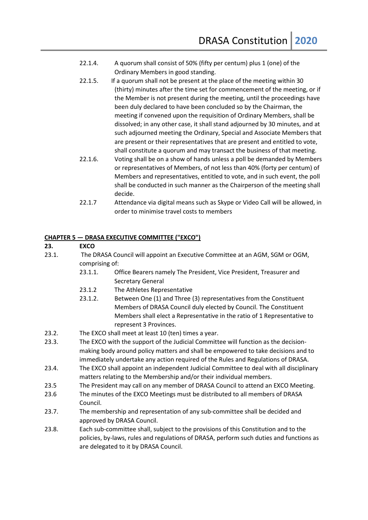- 22.1.4. A quorum shall consist of 50% (fifty per centum) plus 1 (one) of the Ordinary Members in good standing.
- 22.1.5. If a quorum shall not be present at the place of the meeting within 30 (thirty) minutes after the time set for commencement of the meeting, or if the Member is not present during the meeting, until the proceedings have been duly declared to have been concluded so by the Chairman, the meeting if convened upon the requisition of Ordinary Members, shall be dissolved; in any other case, it shall stand adjourned by 30 minutes, and at such adjourned meeting the Ordinary, Special and Associate Members that are present or their representatives that are present and entitled to vote, shall constitute a quorum and may transact the business of that meeting.
- 22.1.6. Voting shall be on a show of hands unless a poll be demanded by Members or representatives of Members, of not less than 40% (forty per centum) of Members and representatives, entitled to vote, and in such event, the poll shall be conducted in such manner as the Chairperson of the meeting shall decide.
- 22.1.7 Attendance via digital means such as Skype or Video Call will be allowed, in order to minimise travel costs to members

#### **CHAPTER 5 — DRASA EXECUTIVE COMMITTEE ("EXCO")**

#### **23. EXCO**

- 23.1. The DRASA Council will appoint an Executive Committee at an AGM, SGM or OGM, comprising of:
	- 23.1.1. Office Bearers namely The President, Vice President, Treasurer and Secretary General
	- 23.1.2 The Athletes Representative
	- 23.1.2. Between One (1) and Three (3) representatives from the Constituent Members of DRASA Council duly elected by Council. The Constituent Members shall elect a Representative in the ratio of 1 Representative to represent 3 Provinces.
- 23.2. The EXCO shall meet at least 10 (ten) times a year.
- 23.3. The EXCO with the support of the Judicial Committee will function as the decisionmaking body around policy matters and shall be empowered to take decisions and to immediately undertake any action required of the Rules and Regulations of DRASA.
- 23.4. The EXCO shall appoint an independent Judicial Committee to deal with all disciplinary matters relating to the Membership and/or their individual members.
- 23.5 The President may call on any member of DRASA Council to attend an EXCO Meeting.
- 23.6 The minutes of the EXCO Meetings must be distributed to all members of DRASA Council.
- 23.7. The membership and representation of any sub-committee shall be decided and approved by DRASA Council.
- 23.8. Each sub-committee shall, subject to the provisions of this Constitution and to the policies, by-laws, rules and regulations of DRASA, perform such duties and functions as are delegated to it by DRASA Council.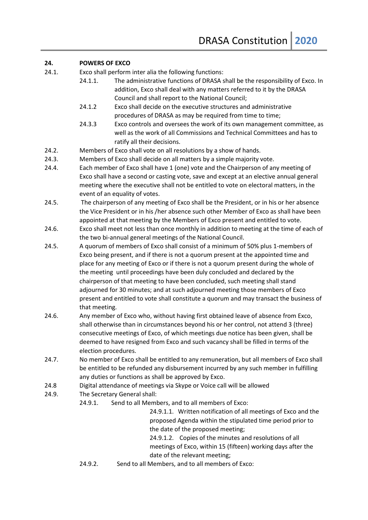#### **24. POWERS OF EXCO**

- 24.1. Exco shall perform inter alia the following functions:
	- 24.1.1. The administrative functions of DRASA shall be the responsibility of Exco. In addition, Exco shall deal with any matters referred to it by the DRASA Council and shall report to the National Council;
		- 24.1.2 Exco shall decide on the executive structures and administrative procedures of DRASA as may be required from time to time;
		- 24.3.3 Exco controls and oversees the work of its own management committee, as well as the work of all Commissions and Technical Committees and has to ratify all their decisions.
- 24.2. Members of Exco shall vote on all resolutions by a show of hands.
- 24.3. Members of Exco shall decide on all matters by a simple majority vote.
- 24.4. Each member of Exco shall have 1 (one) vote and the Chairperson of any meeting of Exco shall have a second or casting vote, save and except at an elective annual general meeting where the executive shall not be entitled to vote on electoral matters, in the event of an equality of votes.
- 24.5. The chairperson of any meeting of Exco shall be the President, or in his or her absence the Vice President or in his /her absence such other Member of Exco as shall have been appointed at that meeting by the Members of Exco present and entitled to vote.
- 24.6. Exco shall meet not less than once monthly in addition to meeting at the time of each of the two bi-annual general meetings of the National Council.
- 24.5. A quorum of members of Exco shall consist of a minimum of 50% plus 1-members of Exco being present, and if there is not a quorum present at the appointed time and place for any meeting of Exco or if there is not a quorum present during the whole of the meeting until proceedings have been duly concluded and declared by the chairperson of that meeting to have been concluded, such meeting shall stand adjourned for 30 minutes; and at such adjourned meeting those members of Exco present and entitled to vote shall constitute a quorum and may transact the business of that meeting.
- 24.6. Any member of Exco who, without having first obtained leave of absence from Exco, shall otherwise than in circumstances beyond his or her control, not attend 3 (three) consecutive meetings of Exco, of which meetings due notice has been given, shall be deemed to have resigned from Exco and such vacancy shall be filled in terms of the election procedures.
- 24.7. No member of Exco shall be entitled to any remuneration, but all members of Exco shall be entitled to be refunded any disbursement incurred by any such member in fulfilling any duties or functions as shall be approved by Exco.
- 24.8 Digital attendance of meetings via Skype or Voice call will be allowed
- 24.9. The Secretary General shall:
	- 24.9.1. Send to all Members, and to all members of Exco:

24.9.1.1. Written notification of all meetings of Exco and the proposed Agenda within the stipulated time period prior to the date of the proposed meeting;

24.9.1.2. Copies of the minutes and resolutions of all meetings of Exco, within 15 (fifteen) working days after the date of the relevant meeting;

24.9.2. Send to all Members, and to all members of Exco: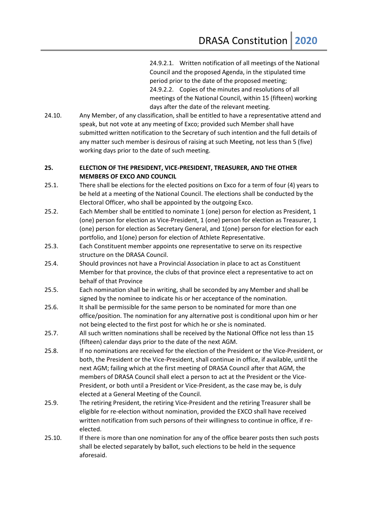24.9.2.1. Written notification of all meetings of the National Council and the proposed Agenda, in the stipulated time period prior to the date of the proposed meeting; 24.9.2.2. Copies of the minutes and resolutions of all meetings of the National Council, within 15 (fifteen) working days after the date of the relevant meeting.

24.10. Any Member, of any classification, shall be entitled to have a representative attend and speak, but not vote at any meeting of Exco; provided such Member shall have submitted written notification to the Secretary of such intention and the full details of any matter such member is desirous of raising at such Meeting, not less than 5 (five) working days prior to the date of such meeting.

# **25. ELECTION OF THE PRESIDENT, VICE-PRESIDENT, TREASURER, AND THE OTHER MEMBERS OF EXCO AND COUNCIL**

- 25.1. There shall be elections for the elected positions on Exco for a term of four (4) years to be held at a meeting of the National Council. The elections shall be conducted by the Electoral Officer, who shall be appointed by the outgoing Exco.
- 25.2. Each Member shall be entitled to nominate 1 (one) person for election as President, 1 (one) person for election as Vice-President, 1 (one) person for election as Treasurer, 1 (one) person for election as Secretary General, and 1(one) person for election for each portfolio, and 1(one) person for election of Athlete Representative.
- 25.3. Each Constituent member appoints one representative to serve on its respective structure on the DRASA Council.
- 25.4. Should provinces not have a Provincial Association in place to act as Constituent Member for that province, the clubs of that province elect a representative to act on behalf of that Province
- 25.5. Each nomination shall be in writing, shall be seconded by any Member and shall be signed by the nominee to indicate his or her acceptance of the nomination.
- 25.6. It shall be permissible for the same person to be nominated for more than one office/position. The nomination for any alternative post is conditional upon him or her not being elected to the first post for which he or she is nominated.
- 25.7. All such written nominations shall be received by the National Office not less than 15 (fifteen) calendar days prior to the date of the next AGM.
- 25.8. If no nominations are received for the election of the President or the Vice-President, or both, the President or the Vice-President, shall continue in office, if available, until the next AGM; failing which at the first meeting of DRASA Council after that AGM, the members of DRASA Council shall elect a person to act at the President or the Vice-President, or both until a President or Vice-President, as the case may be, is duly elected at a General Meeting of the Council.
- 25.9. The retiring President, the retiring Vice-President and the retiring Treasurer shall be eligible for re-election without nomination, provided the EXCO shall have received written notification from such persons of their willingness to continue in office, if reelected.
- 25.10. If there is more than one nomination for any of the office bearer posts then such posts shall be elected separately by ballot, such elections to be held in the sequence aforesaid.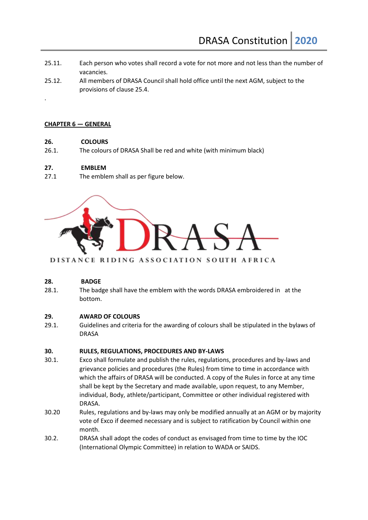- 25.11. Each person who votes shall record a vote for not more and not less than the number of vacancies.
- 25.12. All members of DRASA Council shall hold office until the next AGM, subject to the provisions of clause 25.4.

#### **CHAPTER 6 — GENERAL**

.

#### **26. COLOURS**

26.1. The colours of DRASA Shall be red and white (with minimum black)

#### **27. EMBLEM**

27.1 The emblem shall as per figure below.



#### DISTANCE RIDING ASSOCIATION SOUTH AFRICA

#### **28. BADGE**

28.1. The badge shall have the emblem with the words DRASA embroidered in at the bottom.

#### **29. AWARD OF COLOURS**

29.1. Guidelines and criteria for the awarding of colours shall be stipulated in the bylaws of DRASA

#### **30. RULES, REGULATIONS, PROCEDURES AND BY-LAWS**

- 30.1. Exco shall formulate and publish the rules, regulations, procedures and by-laws and grievance policies and procedures (the Rules) from time to time in accordance with which the affairs of DRASA will be conducted. A copy of the Rules in force at any time shall be kept by the Secretary and made available, upon request, to any Member, individual, Body, athlete/participant, Committee or other individual registered with DRASA.
- 30.20 Rules, regulations and by-laws may only be modified annually at an AGM or by majority vote of Exco if deemed necessary and is subject to ratification by Council within one month.
- 30.2. DRASA shall adopt the codes of conduct as envisaged from time to time by the IOC (International Olympic Committee) in relation to WADA or SAIDS.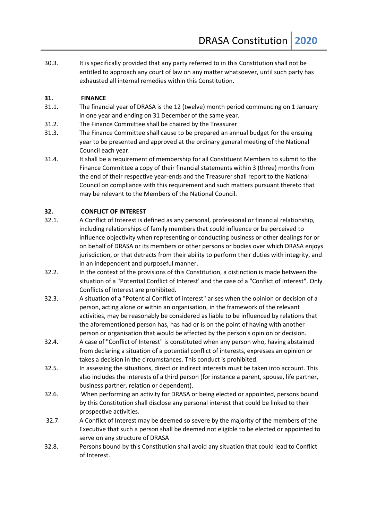30.3. It is specifically provided that any party referred to in this Constitution shall not be entitled to approach any court of law on any matter whatsoever, until such party has exhausted all internal remedies within this Constitution.

# **31. FINANCE**

- 31.1. The financial year of DRASA is the 12 (twelve) month period commencing on 1 January in one year and ending on 31 December of the same year.
- 31.2. The Finance Committee shall be chaired by the Treasurer
- 31.3. The Finance Committee shall cause to be prepared an annual budget for the ensuing year to be presented and approved at the ordinary general meeting of the National Council each year.
- 31.4. It shall be a requirement of membership for all Constituent Members to submit to the Finance Committee a copy of their financial statements within 3 (three) months from the end of their respective year-ends and the Treasurer shall report to the National Council on compliance with this requirement and such matters pursuant thereto that may be relevant to the Members of the National Council.

# **32. CONFLICT OF INTEREST**

- 32.1. A Conflict of Interest is defined as any personal, professional or financial relationship, including relationships of family members that could influence or be perceived to influence objectivity when representing or conducting business or other dealings for or on behalf of DRASA or its members or other persons or bodies over which DRASA enjoys jurisdiction, or that detracts from their ability to perform their duties with integrity, and in an independent and purposeful manner.
- 32.2. In the context of the provisions of this Constitution, a distinction is made between the situation of a "Potential Conflict of Interest' and the case of a "Conflict of Interest". Only Conflicts of Interest are prohibited.
- 32.3. A situation of a "Potential Conflict of interest" arises when the opinion or decision of a person, acting alone or within an organisation, in the framework of the relevant activities, may be reasonably be considered as liable to be influenced by relations that the aforementioned person has, has had or is on the point of having with another person or organisation that would be affected by the person's opinion or decision.
- 32.4. A case of "Conflict of Interest" is constituted when any person who, having abstained from declaring a situation of a potential conflict of interests, expresses an opinion or takes a decision in the circumstances. This conduct is prohibited.
- 32.5. In assessing the situations, direct or indirect interests must be taken into account. This also includes the interests of a third person (for instance a parent, spouse, life partner, business partner, relation or dependent).
- 32.6. When performing an activity for DRASA or being elected or appointed, persons bound by this Constitution shall disclose any personal interest that could be linked to their prospective activities.
- 32.7. A Conflict of Interest may be deemed so severe by the majority of the members of the Executive that such a person shall be deemed not eligible to be elected or appointed to serve on any structure of DRASA
- 32.8. Persons bound by this Constitution shall avoid any situation that could lead to Conflict of Interest.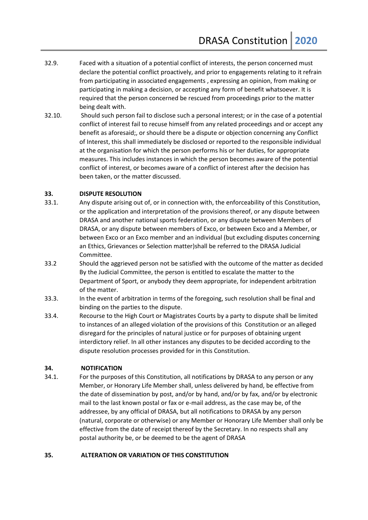- 32.9. Faced with a situation of a potential conflict of interests, the person concerned must declare the potential conflict proactively, and prior to engagements relating to it refrain from participating in associated engagements , expressing an opinion, from making or participating in making a decision, or accepting any form of benefit whatsoever. It is required that the person concerned be rescued from proceedings prior to the matter being dealt with.
- 32.10. Should such person fail to disclose such a personal interest; or in the case of a potential conflict of interest fail to recuse himself from any related proceedings and or accept any benefit as aforesaid;, or should there be a dispute or objection concerning any Conflict of Interest, this shall immediately be disclosed or reported to the responsible individual at the organisation for which the person performs his or her duties, for appropriate measures. This includes instances in which the person becomes aware of the potential conflict of interest, or becomes aware of a conflict of interest after the decision has been taken, or the matter discussed.

#### **33. DISPUTE RESOLUTION**

- 33.1. Any dispute arising out of, or in connection with, the enforceability of this Constitution, or the application and interpretation of the provisions thereof, or any dispute between DRASA and another national sports federation, or any dispute between Members of DRASA, or any dispute between members of Exco, or between Exco and a Member, or between Exco or an Exco member and an individual (but excluding disputes concerning an Ethics, Grievances or Selection matter)shall be referred to the DRASA Judicial Committee.
- 33.2 Should the aggrieved person not be satisfied with the outcome of the matter as decided By the Judicial Committee, the person is entitled to escalate the matter to the Department of Sport, or anybody they deem appropriate, for independent arbitration of the matter.
- 33.3. In the event of arbitration in terms of the foregoing, such resolution shall be final and binding on the parties to the dispute.
- 33.4. Recourse to the High Court or Magistrates Courts by a party to dispute shall be limited to instances of an alleged violation of the provisions of this Constitution or an alleged disregard for the principles of natural justice or for purposes of obtaining urgent interdictory relief. In all other instances any disputes to be decided according to the dispute resolution processes provided for in this Constitution.

#### **34. NOTIFICATION**

34.1. For the purposes of this Constitution, all notifications by DRASA to any person or any Member, or Honorary Life Member shall, unless delivered by hand, be effective from the date of dissemination by post, and/or by hand, and/or by fax, and/or by electronic mail to the last known postal or fax or e-mail address, as the case may be, of the addressee, by any official of DRASA, but all notifications to DRASA by any person (natural, corporate or otherwise) or any Member or Honorary Life Member shall only be effective from the date of receipt thereof by the Secretary. In no respects shall any postal authority be, or be deemed to be the agent of DRASA

#### **35. ALTERATION OR VARIATION OF THIS CONSTITUTION**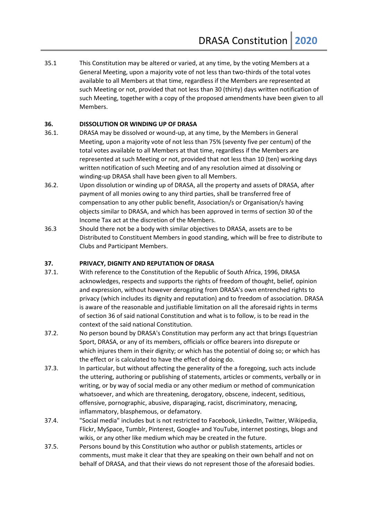35.1 This Constitution may be altered or varied, at any time, by the voting Members at a General Meeting, upon a majority vote of not less than two-thirds of the total votes available to all Members at that time, regardless if the Members are represented at such Meeting or not, provided that not less than 30 (thirty) days written notification of such Meeting, together with a copy of the proposed amendments have been given to all Members.

#### **36. DISSOLUTION OR WINDING UP OF DRASA**

- 36.1. DRASA may be dissolved or wound-up, at any time, by the Members in General Meeting, upon a majority vote of not less than 75% (seventy five per centum) of the total votes available to all Members at that time, regardless if the Members are represented at such Meeting or not, provided that not less than 10 (ten) working days written notification of such Meeting and of any resolution aimed at dissolving or winding-up DRASA shall have been given to all Members.
- 36.2. Upon dissolution or winding up of DRASA, all the property and assets of DRASA, after payment of all monies owing to any third parties, shall be transferred free of compensation to any other public benefit, Association/s or Organisation/s having objects similar to DRASA, and which has been approved in terms of section 30 of the Income Tax act at the discretion of the Members.
- 36.3 Should there not be a body with similar objectives to DRASA, assets are to be Distributed to Constituent Members in good standing, which will be free to distribute to Clubs and Participant Members.

### **37. PRIVACY, DIGNITY AND REPUTATION OF DRASA**

- 37.1. With reference to the Constitution of the Republic of South Africa, 1996, DRASA acknowledges, respects and supports the rights of freedom of thought, belief, opinion and expression, without however derogating from DRASA's own entrenched rights to privacy (which includes its dignity and reputation) and to freedom of association. DRASA is aware of the reasonable and justifiable limitation on all the aforesaid rights in terms of section 36 of said national Constitution and what is to follow, is to be read in the context of the said national Constitution.
- 37.2. No person bound by DRASA's Constitution may perform any act that brings Equestrian Sport, DRASA, or any of its members, officials or office bearers into disrepute or which injures them in their dignity; or which has the potential of doing so; or which has the effect or is calculated to have the effect of doing do.
- 37.3. In particular, but without affecting the generality of the a foregoing, such acts include the uttering, authoring or publishing of statements, articles or comments, verbally or in writing, or by way of social media or any other medium or method of communication whatsoever, and which are threatening, derogatory, obscene, indecent, seditious, offensive, pornographic, abusive, disparaging, racist, discriminatory, menacing, inflammatory, blasphemous, or defamatory.
- 37.4. "Social media" includes but is not restricted to Facebook, LinkedIn, Twitter, Wikipedia, Flickr, MySpace, Tumblr, Pinterest, Google+ and YouTube, internet postings, blogs and wikis, or any other like medium which may be created in the future.
- 37.5. Persons bound by this Constitution who author or publish statements, articles or comments, must make it clear that they are speaking on their own behalf and not on behalf of DRASA, and that their views do not represent those of the aforesaid bodies.